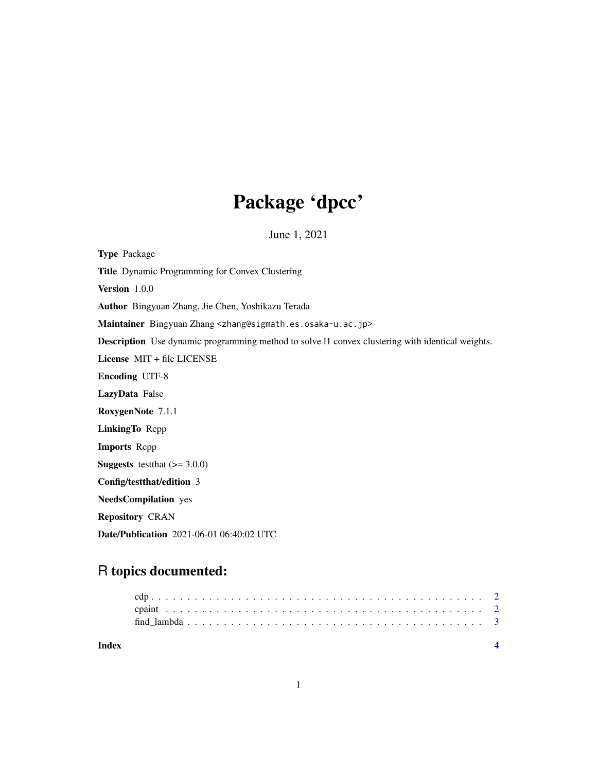## Package 'dpcc'

June 1, 2021

Type Package Title Dynamic Programming for Convex Clustering Version 1.0.0 Author Bingyuan Zhang, Jie Chen, Yoshikazu Terada Maintainer Bingyuan Zhang <zhang@sigmath.es.osaka-u.ac.jp> Description Use dynamic programming method to solve l1 convex clustering with identical weights. License MIT + file LICENSE Encoding UTF-8 LazyData False RoxygenNote 7.1.1 LinkingTo Rcpp Imports Rcpp **Suggests** testthat  $(>= 3.0.0)$ Config/testthat/edition 3 NeedsCompilation yes Repository CRAN Date/Publication 2021-06-01 06:40:02 UTC

### R topics documented: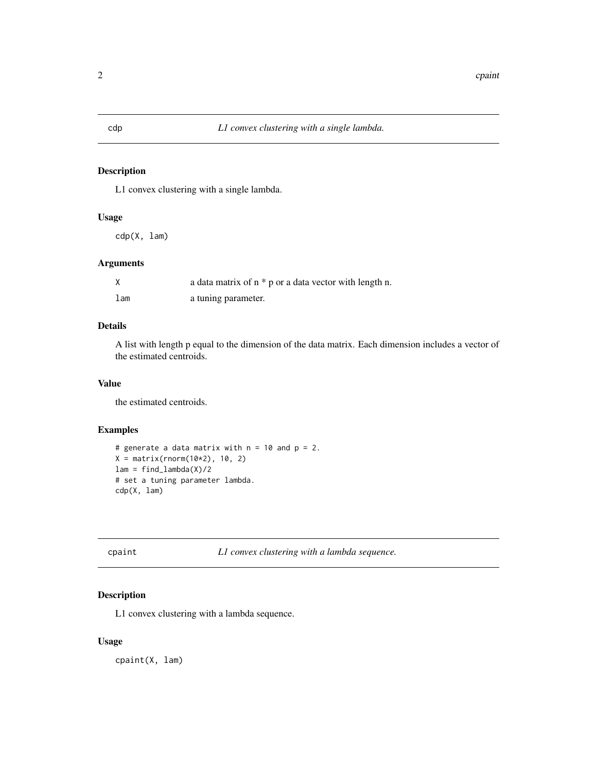#### <span id="page-1-0"></span>Description

L1 convex clustering with a single lambda.

#### Usage

cdp(X, lam)

#### Arguments

|                 | a data matrix of $n * p$ or a data vector with length n. |
|-----------------|----------------------------------------------------------|
| 1 <sub>am</sub> | a tuning parameter.                                      |

#### Details

A list with length p equal to the dimension of the data matrix. Each dimension includes a vector of the estimated centroids.

#### Value

the estimated centroids.

#### Examples

```
# generate a data matrix with n = 10 and p = 2.
X = matrix(rnorm(10*2), 10, 2)lam = find_lambda(X)/2# set a tuning parameter lambda.
cdp(X, lam)
```
cpaint *L1 convex clustering with a lambda sequence.*

#### Description

L1 convex clustering with a lambda sequence.

#### Usage

cpaint(X, lam)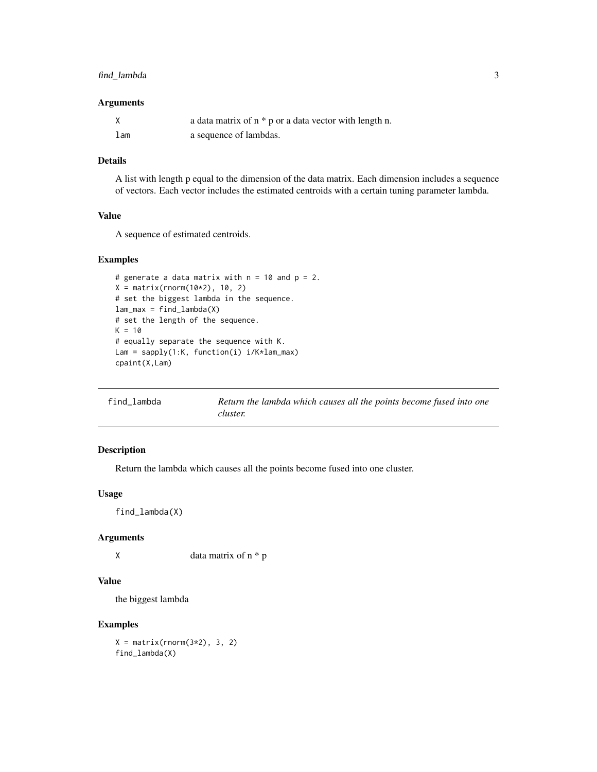#### <span id="page-2-0"></span>find\_lambda 3

#### Arguments

|     | a data matrix of $n * p$ or a data vector with length n. |
|-----|----------------------------------------------------------|
| lam | a sequence of lambdas.                                   |

#### Details

A list with length p equal to the dimension of the data matrix. Each dimension includes a sequence of vectors. Each vector includes the estimated centroids with a certain tuning parameter lambda.

#### Value

A sequence of estimated centroids.

#### Examples

```
# generate a data matrix with n = 10 and p = 2.
X = matrix(rnorm(10*2), 10, 2)# set the biggest lambda in the sequence.
lam_max = find_lambda(X)# set the length of the sequence.
K = 10# equally separate the sequence with K.
Lam = sapply(1:K, function(i) i/K*lam_max)
cpaint(X,Lam)
```
find\_lambda *Return the lambda which causes all the points become fused into one cluster.*

#### Description

Return the lambda which causes all the points become fused into one cluster.

#### Usage

find\_lambda(X)

#### Arguments

 $X$  data matrix of  $n * p$ 

#### Value

the biggest lambda

#### Examples

 $X = matrix(rnorm(3*2), 3, 2)$ find\_lambda(X)